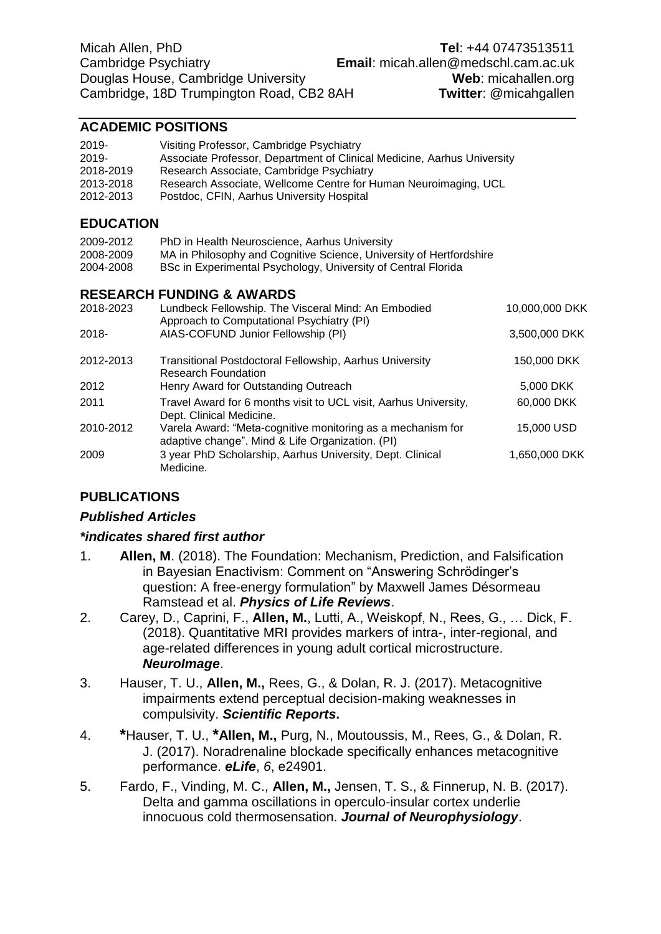# **ACADEMIC POSITIONS**

| 2019-<br>2019-<br>2018-2019<br>2013-2018<br>2012-2013 | Visiting Professor, Cambridge Psychiatry<br>Associate Professor, Department of Clinical Medicine, Aarhus University<br>Research Associate, Cambridge Psychiatry<br>Research Associate, Wellcome Centre for Human Neuroimaging, UCL<br>Postdoc, CFIN, Aarhus University Hospital |                |
|-------------------------------------------------------|---------------------------------------------------------------------------------------------------------------------------------------------------------------------------------------------------------------------------------------------------------------------------------|----------------|
|                                                       |                                                                                                                                                                                                                                                                                 |                |
| <b>EDUCATION</b>                                      |                                                                                                                                                                                                                                                                                 |                |
| 2009-2012<br>2008-2009<br>2004-2008                   | PhD in Health Neuroscience, Aarhus University<br>MA in Philosophy and Cognitive Science, University of Hertfordshire<br>BSc in Experimental Psychology, University of Central Florida                                                                                           |                |
|                                                       | <b>RESEARCH FUNDING &amp; AWARDS</b>                                                                                                                                                                                                                                            |                |
| 2018-2023                                             | Lundbeck Fellowship. The Visceral Mind: An Embodied<br>Approach to Computational Psychiatry (PI)                                                                                                                                                                                | 10,000,000 DKK |
| 2018-                                                 | AIAS-COFUND Junior Fellowship (PI)                                                                                                                                                                                                                                              | 3,500,000 DKK  |
| 2012-2013                                             | <b>Transitional Postdoctoral Fellowship, Aarhus University</b><br><b>Research Foundation</b>                                                                                                                                                                                    | 150,000 DKK    |
| 2012                                                  | Henry Award for Outstanding Outreach                                                                                                                                                                                                                                            | 5,000 DKK      |
| 2011                                                  | Travel Award for 6 months visit to UCL visit, Aarhus University,<br>Dept. Clinical Medicine.                                                                                                                                                                                    | 60,000 DKK     |
| 2010-2012                                             | Varela Award: "Meta-cognitive monitoring as a mechanism for<br>adaptive change". Mind & Life Organization. (PI)                                                                                                                                                                 | 15,000 USD     |
| 2009                                                  | 3 year PhD Scholarship, Aarhus University, Dept. Clinical<br>Medicine.                                                                                                                                                                                                          | 1,650,000 DKK  |

# **PUBLICATIONS**

### *Published Articles*

### *\*indicates shared first author*

- 1. **Allen, M**. (2018). The Foundation: Mechanism, Prediction, and Falsification in Bayesian Enactivism: Comment on "Answering Schrödinger's question: A free-energy formulation" by Maxwell James Désormeau Ramstead et al. *Physics of Life Reviews*.
- 2. Carey, D., Caprini, F., **Allen, M.**, Lutti, A., Weiskopf, N., Rees, G., … Dick, F. (2018). Quantitative MRI provides markers of intra-, inter-regional, and age-related differences in young adult cortical microstructure. *NeuroImage*.
- 3. Hauser, T. U., **Allen, M.,** Rees, G., & Dolan, R. J. (2017). Metacognitive impairments extend perceptual decision-making weaknesses in compulsivity. *Scientific Reports***.**
- 4. **\***Hauser, T. U., **\*Allen, M.,** Purg, N., Moutoussis, M., Rees, G., & Dolan, R. J. (2017). Noradrenaline blockade specifically enhances metacognitive performance. *eLife*, *6*, e24901.
- 5. Fardo, F., Vinding, M. C., **Allen, M.,** Jensen, T. S., & Finnerup, N. B. (2017). Delta and gamma oscillations in operculo-insular cortex underlie innocuous cold thermosensation. *Journal of Neurophysiology*.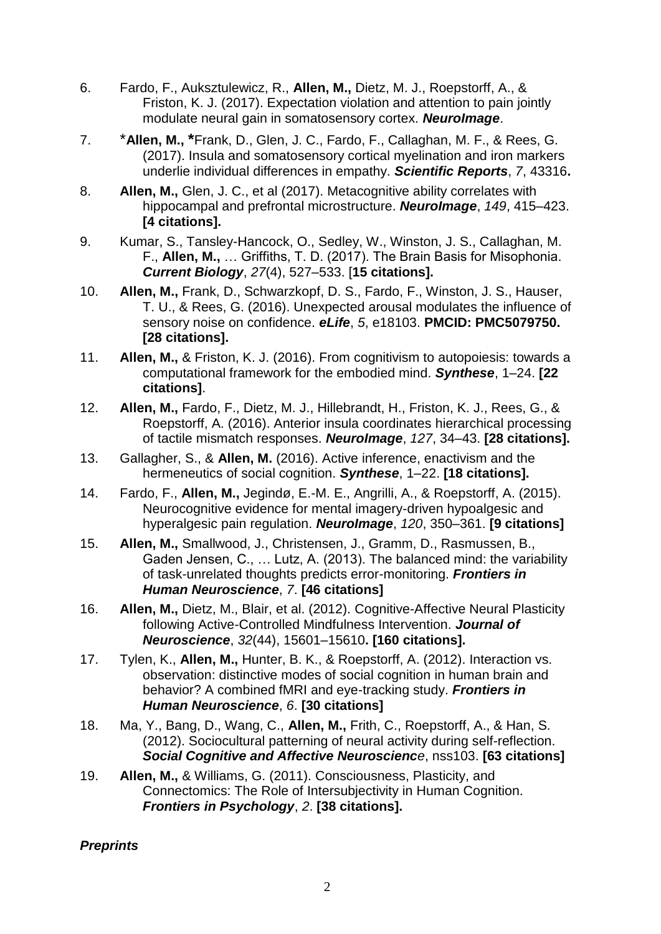- 6. Fardo, F., Auksztulewicz, R., **Allen, M.,** Dietz, M. J., Roepstorff, A., & Friston, K. J. (2017). Expectation violation and attention to pain jointly modulate neural gain in somatosensory cortex. *NeuroImage*.
- 7. \***Allen, M., \***Frank, D., Glen, J. C., Fardo, F., Callaghan, M. F., & Rees, G. (2017). Insula and somatosensory cortical myelination and iron markers underlie individual differences in empathy. *Scientific Reports*, *7*, 43316**.**
- 8. **Allen, M.,** Glen, J. C., et al (2017). Metacognitive ability correlates with hippocampal and prefrontal microstructure. *NeuroImage*, *149*, 415–423. **[4 citations].**
- 9. Kumar, S., Tansley-Hancock, O., Sedley, W., Winston, J. S., Callaghan, M. F., **Allen, M.,** … Griffiths, T. D. (2017). The Brain Basis for Misophonia. *Current Biology*, *27*(4), 527–533. [**15 citations].**
- 10. **Allen, M.,** Frank, D., Schwarzkopf, D. S., Fardo, F., Winston, J. S., Hauser, T. U., & Rees, G. (2016). Unexpected arousal modulates the influence of sensory noise on confidence. *eLife*, *5*, e18103. **PMCID: PMC5079750. [28 citations].**
- 11. **Allen, M.,** & Friston, K. J. (2016). From cognitivism to autopoiesis: towards a computational framework for the embodied mind. *Synthese*, 1–24. **[22 citations]**.
- 12. **Allen, M.,** Fardo, F., Dietz, M. J., Hillebrandt, H., Friston, K. J., Rees, G., & Roepstorff, A. (2016). Anterior insula coordinates hierarchical processing of tactile mismatch responses. *NeuroImage*, *127*, 34–43. **[28 citations].**
- 13. Gallagher, S., & **Allen, M.** (2016). Active inference, enactivism and the hermeneutics of social cognition. *Synthese*, 1–22. **[18 citations].**
- 14. Fardo, F., **Allen, M.,** Jegindø, E.-M. E., Angrilli, A., & Roepstorff, A. (2015). Neurocognitive evidence for mental imagery-driven hypoalgesic and hyperalgesic pain regulation. *NeuroImage*, *120*, 350–361. **[9 citations]**
- 15. **Allen, M.,** Smallwood, J., Christensen, J., Gramm, D., Rasmussen, B., Gaden Jensen, C., … Lutz, A. (2013). The balanced mind: the variability of task-unrelated thoughts predicts error-monitoring. *Frontiers in Human Neuroscience*, *7*. **[46 citations]**
- 16. **Allen, M.,** Dietz, M., Blair, et al. (2012). Cognitive-Affective Neural Plasticity following Active-Controlled Mindfulness Intervention. *Journal of Neuroscience*, *32*(44), 15601–15610**. [160 citations].**
- 17. Tylen, K., **Allen, M.,** Hunter, B. K., & Roepstorff, A. (2012). Interaction vs. observation: distinctive modes of social cognition in human brain and behavior? A combined fMRI and eye-tracking study. *Frontiers in Human Neuroscience*, *6*. **[30 citations]**
- 18. Ma, Y., Bang, D., Wang, C., **Allen, M.,** Frith, C., Roepstorff, A., & Han, S. (2012). Sociocultural patterning of neural activity during self-reflection. *Social Cognitive and Affective Neuroscience*, nss103. **[63 citations]**
- 19. **Allen, M.,** & Williams, G. (2011). Consciousness, Plasticity, and Connectomics: The Role of Intersubjectivity in Human Cognition. *Frontiers in Psychology*, *2*. **[38 citations].**

### *Preprints*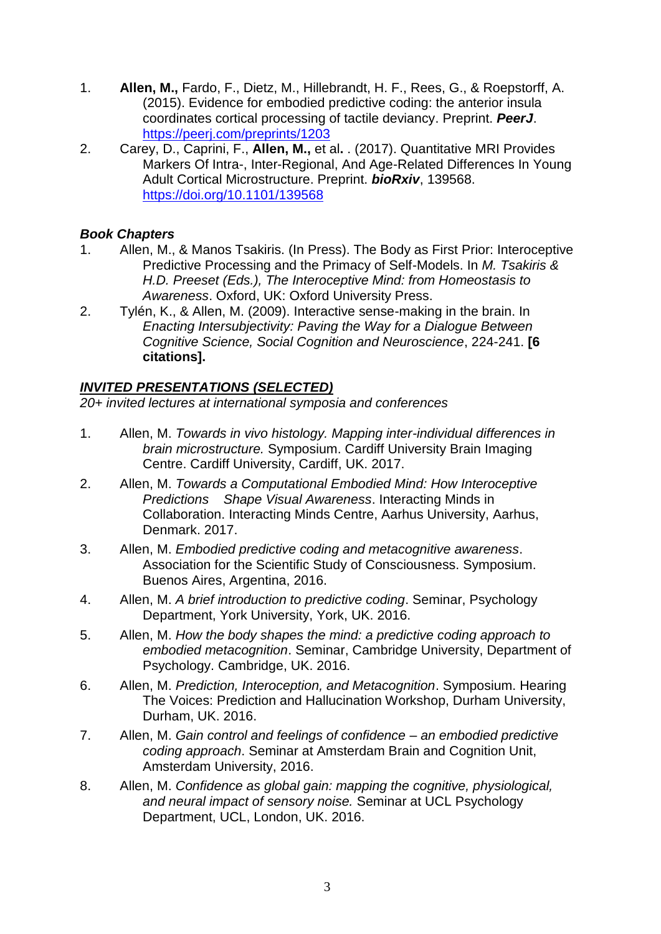- 1. **Allen, M.,** Fardo, F., Dietz, M., Hillebrandt, H. F., Rees, G., & Roepstorff, A. (2015). Evidence for embodied predictive coding: the anterior insula coordinates cortical processing of tactile deviancy. Preprint. *PeerJ*. <https://peerj.com/preprints/1203>
- 2. Carey, D., Caprini, F., **Allen, M.,** et al**.** . (2017). Quantitative MRI Provides Markers Of Intra-, Inter-Regional, And Age-Related Differences In Young Adult Cortical Microstructure. Preprint. *bioRxiv*, 139568. <https://doi.org/10.1101/139568>

# *Book Chapters*

- 1. Allen, M., & Manos Tsakiris. (In Press). The Body as First Prior: Interoceptive Predictive Processing and the Primacy of Self-Models. In *M. Tsakiris & H.D. Preeset (Eds.), The Interoceptive Mind: from Homeostasis to Awareness*. Oxford, UK: Oxford University Press.
- 2. Tylén, K., & Allen, M. (2009). Interactive sense-making in the brain. In *Enacting Intersubjectivity: Paving the Way for a Dialogue Between Cognitive Science, Social Cognition and Neuroscience*, 224-241. **[6 citations].**

# *INVITED PRESENTATIONS (SELECTED)*

*20+ invited lectures at international symposia and conferences*

- 1. Allen, M. *Towards in vivo histology. Mapping inter-individual differences in brain microstructure.* Symposium. Cardiff University Brain Imaging Centre. Cardiff University, Cardiff, UK. 2017.
- 2. Allen, M. *Towards a Computational Embodied Mind: How Interoceptive Predictions Shape Visual Awareness*. Interacting Minds in Collaboration. Interacting Minds Centre, Aarhus University, Aarhus, Denmark. 2017.
- 3. Allen, M. *Embodied predictive coding and metacognitive awareness*. Association for the Scientific Study of Consciousness. Symposium. Buenos Aires, Argentina, 2016.
- 4. Allen, M. *A brief introduction to predictive coding*. Seminar, Psychology Department, York University, York, UK. 2016.
- 5. Allen, M. *How the body shapes the mind: a predictive coding approach to embodied metacognition*. Seminar, Cambridge University, Department of Psychology. Cambridge, UK. 2016.
- 6. Allen, M. *Prediction, Interoception, and Metacognition*. Symposium. Hearing The Voices: Prediction and Hallucination Workshop, Durham University, Durham, UK. 2016.
- 7. Allen, M. *Gain control and feelings of confidence – an embodied predictive coding approach*. Seminar at Amsterdam Brain and Cognition Unit, Amsterdam University, 2016.
- 8. Allen, M. *Confidence as global gain: mapping the cognitive, physiological, and neural impact of sensory noise.* Seminar at UCL Psychology Department, UCL, London, UK. 2016.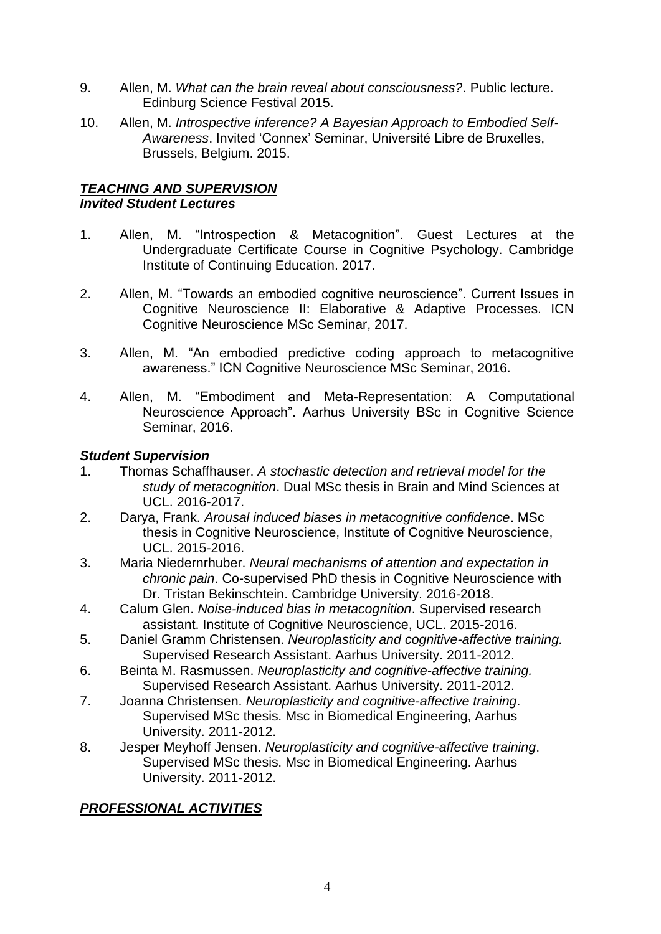- 9. Allen, M. *What can the brain reveal about consciousness?*. Public lecture. Edinburg Science Festival 2015.
- 10. Allen, M. *Introspective inference? A Bayesian Approach to Embodied Self-Awareness*. Invited 'Connex' Seminar, Université Libre de Bruxelles, Brussels, Belgium. 2015.

# *TEACHING AND SUPERVISION Invited Student Lectures*

- 1. Allen, M. "Introspection & Metacognition". Guest Lectures at the Undergraduate Certificate Course in Cognitive Psychology. Cambridge Institute of Continuing Education. 2017.
- 2. Allen, M. "Towards an embodied cognitive neuroscience". Current Issues in Cognitive Neuroscience II: Elaborative & Adaptive Processes. ICN Cognitive Neuroscience MSc Seminar, 2017.
- 3. Allen, M. "An embodied predictive coding approach to metacognitive awareness." ICN Cognitive Neuroscience MSc Seminar, 2016.
- 4. Allen, M. "Embodiment and Meta-Representation: A Computational Neuroscience Approach". Aarhus University BSc in Cognitive Science Seminar, 2016.

# *Student Supervision*

- 1. Thomas Schaffhauser. *A stochastic detection and retrieval model for the study of metacognition*. Dual MSc thesis in Brain and Mind Sciences at UCL. 2016-2017.
- 2. Darya, Frank. *Arousal induced biases in metacognitive confidence*. MSc thesis in Cognitive Neuroscience, Institute of Cognitive Neuroscience, UCL. 2015-2016.
- 3. Maria Niedernrhuber. *Neural mechanisms of attention and expectation in chronic pain*. Co-supervised PhD thesis in Cognitive Neuroscience with Dr. Tristan Bekinschtein. Cambridge University. 2016-2018.
- 4. Calum Glen. *Noise-induced bias in metacognition*. Supervised research assistant. Institute of Cognitive Neuroscience, UCL. 2015-2016.
- 5. Daniel Gramm Christensen. *Neuroplasticity and cognitive-affective training.*  Supervised Research Assistant. Aarhus University. 2011-2012.
- 6. Beinta M. Rasmussen. *Neuroplasticity and cognitive-affective training.*  Supervised Research Assistant. Aarhus University. 2011-2012.
- 7. Joanna Christensen. *Neuroplasticity and cognitive-affective training*. Supervised MSc thesis. Msc in Biomedical Engineering, Aarhus University. 2011-2012.
- 8. Jesper Meyhoff Jensen. *Neuroplasticity and cognitive-affective training*. Supervised MSc thesis. Msc in Biomedical Engineering. Aarhus University. 2011-2012.

# *PROFESSIONAL ACTIVITIES*